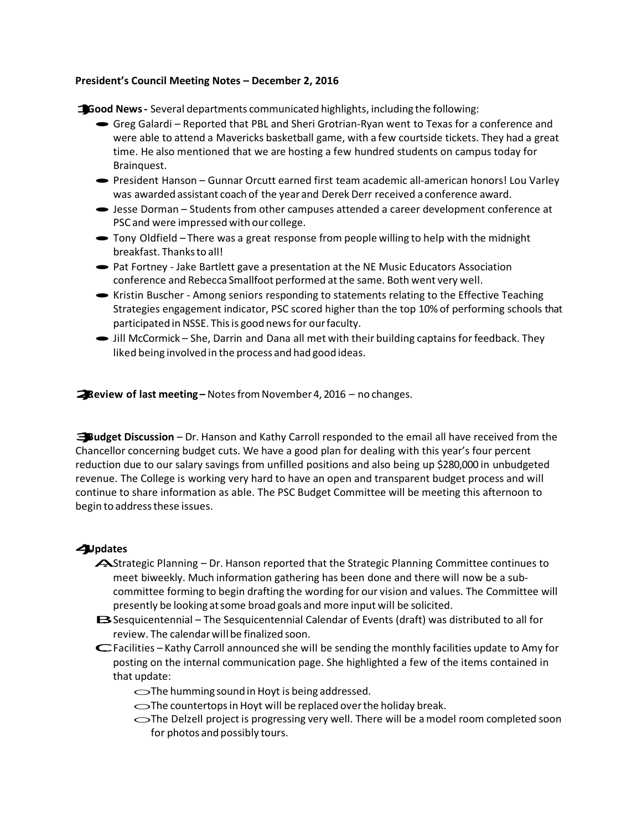## **President's Council Meeting Notes – December 2, 2016**

**1)Good News-** Several departments communicated highlights, including the following:

- ·Greg Galardi Reported that PBL and Sheri Grotrian-Ryan went to Texas for a conference and were able to attend a Mavericks basketball game, with a few courtside tickets. They had a great time. He also mentioned that we are hosting a few hundred students on campus today for Brainquest.
- · President Hanson Gunnar Orcutt earned first team academic all-american honors! Lou Varley was awarded assistant coach of the year and Derek Derr received a conference award.
- ·Jesse Dorman Students from other campuses attended a career development conference at PSC and were impressed with our college.
- · Tony Oldfield There was <sup>a</sup> great response from people willing to help with the midnight breakfast. Thanksto all!
- Pat Fortney Jake Bartlett gave a presentation at the NE Music Educators Association conference and Rebecca Smallfoot performed atthe same. Both went very well.
- Kristin Buscher Among seniors responding to statements relating to the Effective Teaching Strategies engagement indicator, PSC scored higher than the top 10% of performing schools that participated in NSSE. This is good news for our faculty.
- Iill McCormick She, Darrin and Dana all met with their building captains for feedback. They liked being involved in the process and had good ideas.

**2)Review of last meeting –** NotesfromNovember 4, <sup>2016</sup> – no changes.

**3)Budget Discussion** – Dr. Hanson and Kathy Carroll responded to the email all have received from the Chancellor concerning budget cuts. We have a good plan for dealing with this year's four percent reduction due to our salary savings from unfilled positions and also being up \$280,000 in unbudgeted revenue. The College is working very hard to have an open and transparent budget process and will continue to share information as able. The PSC Budget Committee will be meeting this afternoon to begin to address these issues.

## **4)Updates**

- A. Strategic Planning Dr. Hanson reported that the Strategic Planning Committee continues to meet biweekly. Much information gathering has been done and there will now be a subcommittee forming to begin drafting the wording for our vision and values. The Committee will presently be looking atsome broad goals and more input will be solicited.
- B. Sesquicentennial The Sesquicentennial Calendar of Events (draft) was distributed to all for review. The calendarwill be finalized soon.
- C. Facilities Kathy Carroll announced she will be sending the monthly facilities update to Amy for posting on the internal communication page. She highlighted a few of the items contained in that update:
	- $\bigcirc$ The humming sound in Hoyt is being addressed.
	- $\bigcirc$ The countertops in Hoyt will be replaced over the holiday break.
	- $\bigcirc$ The Delzell project is progressing very well. There will be a model room completed soon for photos and possibly tours.